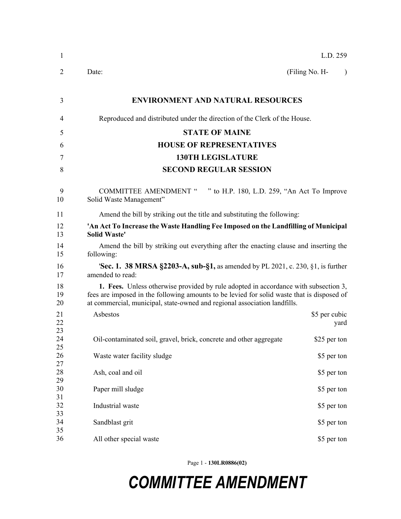| $\mathbf{1}$   |                                                                                                                                                                                                                                                                | L.D. 259                    |
|----------------|----------------------------------------------------------------------------------------------------------------------------------------------------------------------------------------------------------------------------------------------------------------|-----------------------------|
| 2              | Date:                                                                                                                                                                                                                                                          | (Filing No. H-<br>$\lambda$ |
| 3              | <b>ENVIRONMENT AND NATURAL RESOURCES</b>                                                                                                                                                                                                                       |                             |
| 4              | Reproduced and distributed under the direction of the Clerk of the House.                                                                                                                                                                                      |                             |
| 5              | <b>STATE OF MAINE</b>                                                                                                                                                                                                                                          |                             |
| 6              | <b>HOUSE OF REPRESENTATIVES</b>                                                                                                                                                                                                                                |                             |
| 7              | <b>130TH LEGISLATURE</b>                                                                                                                                                                                                                                       |                             |
| 8              | <b>SECOND REGULAR SESSION</b>                                                                                                                                                                                                                                  |                             |
| 9<br>10        | <b>COMMITTEE AMENDMENT "</b><br>" to H.P. 180, L.D. 259, "An Act To Improve"<br>Solid Waste Management"                                                                                                                                                        |                             |
| 11             | Amend the bill by striking out the title and substituting the following:                                                                                                                                                                                       |                             |
| 12<br>13       | 'An Act To Increase the Waste Handling Fee Imposed on the Landfilling of Municipal<br><b>Solid Waste'</b>                                                                                                                                                      |                             |
| 14<br>15       | Amend the bill by striking out everything after the enacting clause and inserting the<br>following:                                                                                                                                                            |                             |
| 16<br>17       | <b>'Sec. 1. 38 MRSA §2203-A, sub-§1, as amended by PL 2021, c. 230, §1, is further</b><br>amended to read:                                                                                                                                                     |                             |
| 18<br>19<br>20 | 1. Fees. Unless otherwise provided by rule adopted in accordance with subsection 3,<br>fees are imposed in the following amounts to be levied for solid waste that is disposed of<br>at commercial, municipal, state-owned and regional association landfills. |                             |
| 21<br>22       | Asbestos                                                                                                                                                                                                                                                       | \$5 per cubic<br>yard       |
| 23<br>24<br>25 | Oil-contaminated soil, gravel, brick, concrete and other aggregate                                                                                                                                                                                             | \$25 per ton                |
| 26<br>27       | Waste water facility sludge                                                                                                                                                                                                                                    | \$5 per ton                 |
| 28<br>29       | Ash, coal and oil                                                                                                                                                                                                                                              | \$5 per ton                 |
| 30<br>31       | Paper mill sludge                                                                                                                                                                                                                                              | \$5 per ton                 |
| 32<br>33       | Industrial waste                                                                                                                                                                                                                                               | \$5 per ton                 |
| 34<br>35       | Sandblast grit                                                                                                                                                                                                                                                 | \$5 per ton                 |
| 36             | All other special waste                                                                                                                                                                                                                                        | \$5 per ton                 |

Page 1 - **130LR0886(02)**

## *COMMITTEE AMENDMENT*